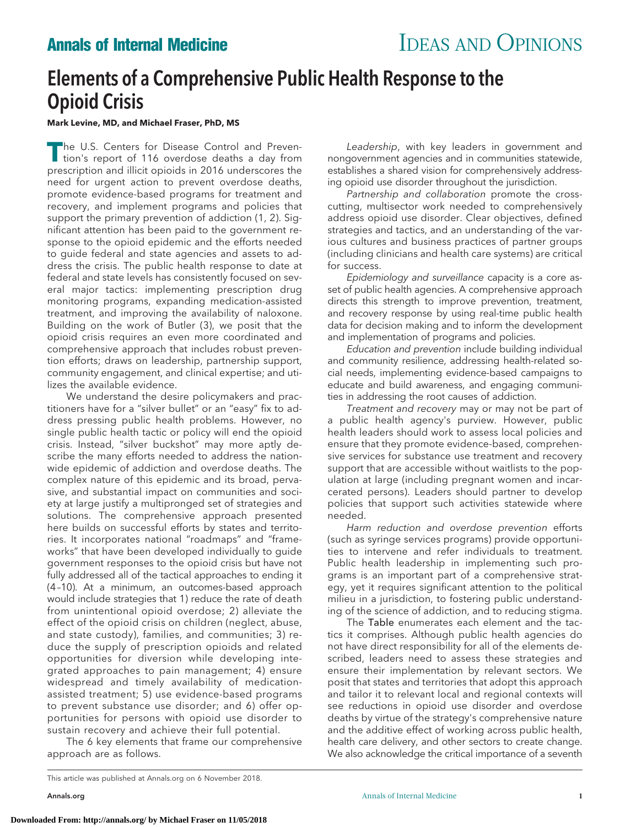# Elements of a Comprehensive Public Health Response to the Opioid Crisis

**Mark Levine, MD, and Michael Fraser, PhD, MS**

The U.S. Centers for Disease Control and Prevention's report of 116 overdose deaths a day from prescription and illicit opioids in 2016 underscores the need for urgent action to prevent overdose deaths, promote evidence-based programs for treatment and recovery, and implement programs and policies that support the primary prevention of addiction (1, 2). Significant attention has been paid to the government response to the opioid epidemic and the efforts needed to guide federal and state agencies and assets to address the crisis. The public health response to date at federal and state levels has consistently focused on several major tactics: implementing prescription drug monitoring programs, expanding medication-assisted treatment, and improving the availability of naloxone. Building on the work of Butler (3), we posit that the opioid crisis requires an even more coordinated and comprehensive approach that includes robust prevention efforts; draws on leadership, partnership support, community engagement, and clinical expertise; and utilizes the available evidence.

We understand the desire policymakers and practitioners have for a "silver bullet" or an "easy" fix to address pressing public health problems. However, no single public health tactic or policy will end the opioid crisis. Instead, "silver buckshot" may more aptly describe the many efforts needed to address the nationwide epidemic of addiction and overdose deaths. The complex nature of this epidemic and its broad, pervasive, and substantial impact on communities and society at large justify a multipronged set of strategies and solutions. The comprehensive approach presented here builds on successful efforts by states and territories. It incorporates national "roadmaps" and "frameworks" that have been developed individually to guide government responses to the opioid crisis but have not fully addressed all of the tactical approaches to ending it (4 –10). At a minimum, an outcomes-based approach would include strategies that 1) reduce the rate of death from unintentional opioid overdose; 2) alleviate the effect of the opioid crisis on children (neglect, abuse, and state custody), families, and communities; 3) reduce the supply of prescription opioids and related opportunities for diversion while developing integrated approaches to pain management; 4) ensure widespread and timely availability of medicationassisted treatment; 5) use evidence-based programs to prevent substance use disorder; and 6) offer opportunities for persons with opioid use disorder to sustain recovery and achieve their full potential.

The 6 key elements that frame our comprehensive approach are as follows.

Leadership, with key leaders in government and nongovernment agencies and in communities statewide, establishes a shared vision for comprehensively addressing opioid use disorder throughout the jurisdiction.

Partnership and collaboration promote the crosscutting, multisector work needed to comprehensively address opioid use disorder. Clear objectives, defined strategies and tactics, and an understanding of the various cultures and business practices of partner groups (including clinicians and health care systems) are critical for success.

Epidemiology and surveillance capacity is a core asset of public health agencies. A comprehensive approach directs this strength to improve prevention, treatment, and recovery response by using real-time public health data for decision making and to inform the development and implementation of programs and policies.

Education and prevention include building individual and community resilience, addressing health-related social needs, implementing evidence-based campaigns to educate and build awareness, and engaging communities in addressing the root causes of addiction.

Treatment and recovery may or may not be part of a public health agency's purview. However, public health leaders should work to assess local policies and ensure that they promote evidence-based, comprehensive services for substance use treatment and recovery support that are accessible without waitlists to the population at large (including pregnant women and incarcerated persons). Leaders should partner to develop policies that support such activities statewide where needed.

Harm reduction and overdose prevention efforts (such as syringe services programs) provide opportunities to intervene and refer individuals to treatment. Public health leadership in implementing such programs is an important part of a comprehensive strategy, yet it requires significant attention to the political milieu in a jurisdiction, to fostering public understanding of the science of addiction, and to reducing stigma.

The Table enumerates each element and the tactics it comprises. Although public health agencies do not have direct responsibility for all of the elements described, leaders need to assess these strategies and ensure their implementation by relevant sectors. We posit that states and territories that adopt this approach and tailor it to relevant local and regional contexts will see reductions in opioid use disorder and overdose deaths by virtue of the strategy's comprehensive nature and the additive effect of working across public health, health care delivery, and other sectors to create change. We also acknowledge the critical importance of a seventh

This article was published at [Annals.org](http://www.annals.org) on 6 November 2018.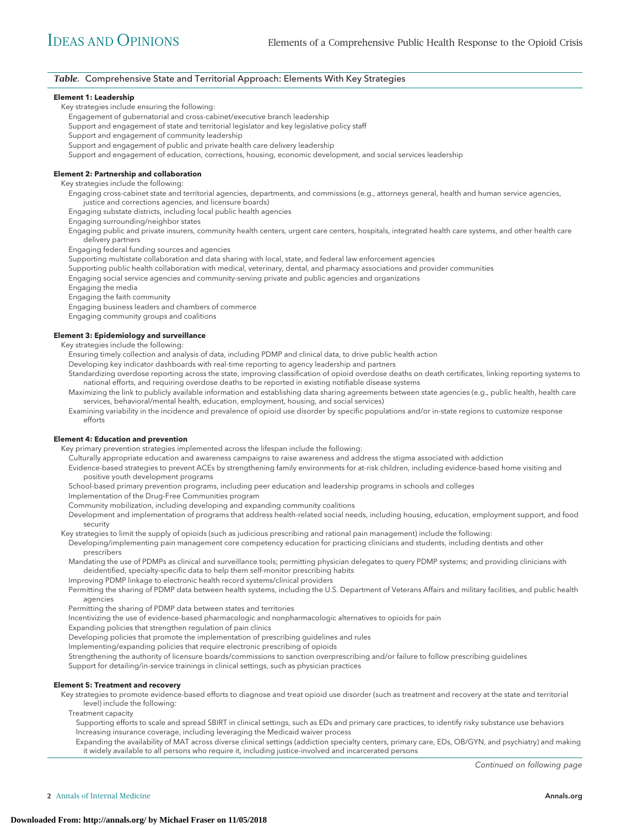## *Table.* Comprehensive State and Territorial Approach: Elements With Key Strategies

#### **Element 1: Leadership**

Key strategies include ensuring the following:

Engagement of gubernatorial and cross-cabinet/executive branch leadership

Support and engagement of state and territorial legislator and key legislative policy staff

Support and engagement of community leadership

Support and engagement of public and private health care delivery leadership

Support and engagement of education, corrections, housing, economic development, and social services leadership

**Element 2: Partnership and collaboration**

### Key strategies include the following:

Engaging cross-cabinet state and territorial agencies, departments, and commissions (e.g., attorneys general, health and human service agencies, justice and corrections agencies, and licensure boards)

Engaging substate districts, including local public health agencies

Engaging surrounding/neighbor states

Engaging public and private insurers, community health centers, urgent care centers, hospitals, integrated health care systems, and other health care delivery partners

Engaging federal funding sources and agencies

Supporting multistate collaboration and data sharing with local, state, and federal law enforcement agencies

Supporting public health collaboration with medical, veterinary, dental, and pharmacy associations and provider communities

Engaging social service agencies and community-serving private and public agencies and organizations

Engaging the media

Engaging the faith community

Engaging business leaders and chambers of commerce

Engaging community groups and coalitions

#### **Element 3: Epidemiology and surveillance**

Key strategies include the following:

Ensuring timely collection and analysis of data, including PDMP and clinical data, to drive public health action

Developing key indicator dashboards with real-time reporting to agency leadership and partners

Standardizing overdose reporting across the state, improving classification of opioid overdose deaths on death certificates, linking reporting systems to national efforts, and requiring overdose deaths to be reported in existing notifiable disease systems

Maximizing the link to publicly available information and establishing data sharing agreements between state agencies (e.g., public health, health care services, behavioral/mental health, education, employment, housing, and social services)

Examining variability in the incidence and prevalence of opioid use disorder by specific populations and/or in-state regions to customize response efforts

#### **Element 4: Education and prevention**

Key primary prevention strategies implemented across the lifespan include the following:

- Culturally appropriate education and awareness campaigns to raise awareness and address the stigma associated with addiction
- Evidence-based strategies to prevent ACEs by strengthening family environments for at-risk children, including evidence-based home visiting and positive youth development programs

School-based primary prevention programs, including peer education and leadership programs in schools and colleges

Implementation of the Drug-Free Communities program

Community mobilization, including developing and expanding community coalitions

Development and implementation of programs that address health-related social needs, including housing, education, employment support, and food security

Key strategies to limit the supply of opioids (such as judicious prescribing and rational pain management) include the following:

Developing/implementing pain management core competency education for practicing clinicians and students, including dentists and other prescribers

Mandating the use of PDMPs as clinical and surveillance tools; permitting physician delegates to query PDMP systems; and providing clinicians with deidentified, specialty-specific data to help them self-monitor prescribing habits

Improving PDMP linkage to electronic health record systems/clinical providers

Permitting the sharing of PDMP data between health systems, including the U.S. Department of Veterans Affairs and military facilities, and public health agencies

Permitting the sharing of PDMP data between states and territories

Incentivizing the use of evidence-based pharmacologic and nonpharmacologic alternatives to opioids for pain

Expanding policies that strengthen regulation of pain clinics

Developing policies that promote the implementation of prescribing guidelines and rules

Implementing/expanding policies that require electronic prescribing of opioids

Strengthening the authority of licensure boards/commissions to sanction overprescribing and/or failure to follow prescribing guidelines

Support for detailing/in-service trainings in clinical settings, such as physician practices

#### **Element 5: Treatment and recovery**

Key strategies to promote evidence-based efforts to diagnose and treat opioid use disorder (such as treatment and recovery at the state and territorial level) include the following:

Treatment capacity

Supporting efforts to scale and spread SBIRT in clinical settings, such as EDs and primary care practices, to identify risky substance use behaviors Increasing insurance coverage, including leveraging the Medicaid waiver process

Expanding the availability of MAT across diverse clinical settings (addiction specialty centers, primary care, EDs, OB/GYN, and psychiatry) and making it widely available to all persons who require it, including justice-involved and incarcerated persons

Continued on following page

**2** Annals of Internal Medicine **[Annals.org](http://www.annals.org) 2** Annals.org **2** Annals.org **2** Annals.org **2** Annals.org **2** Annals.org **2** Annals.org **2** Annals.org **2** Annals.org **2** Annals.org **2** Annals.org **2** Annals.org **2** Annals.o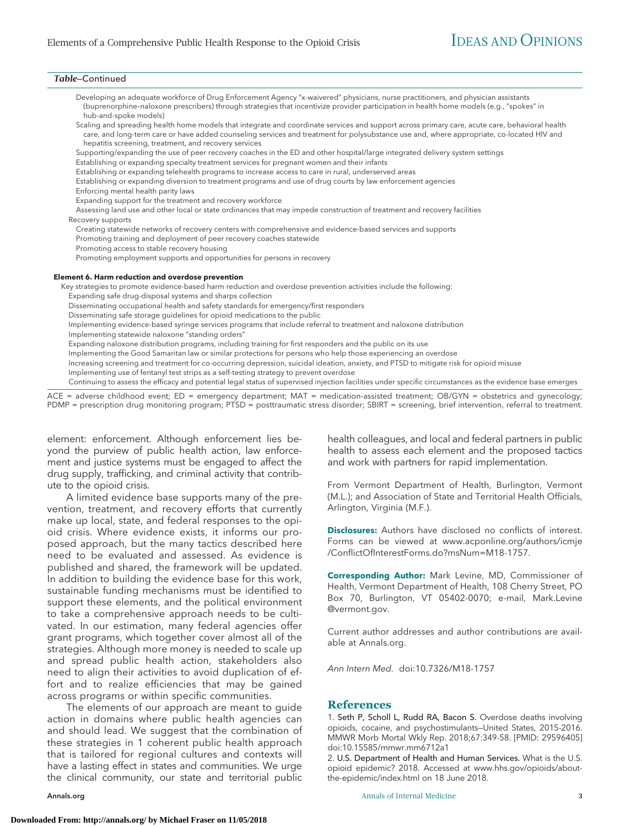# *Table*—Continued

Developing an adequate workforce of Drug Enforcement Agency "x-waivered" physicians, nurse practitioners, and physician assistants (buprenorphine–naloxone prescribers) through strategies that incentivize provider participation in health home models (e.g., "spokes" in hub-and-spoke models) Scaling and spreading health home models that integrate and coordinate services and support across primary care, acute care, behavioral health care, and long-term care or have added counseling services and treatment for polysubstance use and, where appropriate, co-located HIV and hepatitis screening, treatment, and recovery services Supporting/expanding the use of peer recovery coaches in the ED and other hospital/large integrated delivery system settings Establishing or expanding specialty treatment services for pregnant women and their infants Establishing or expanding telehealth programs to increase access to care in rural, underserved areas Establishing or expanding diversion to treatment programs and use of drug courts by law enforcement agencies Enforcing mental health parity laws Expanding support for the treatment and recovery workforce Assessing land use and other local or state ordinances that may impede construction of treatment and recovery facilities Recovery supports Creating statewide networks of recovery centers with comprehensive and evidence-based services and supports Promoting training and deployment of peer recovery coaches statewide Promoting access to stable recovery housing Promoting employment supports and opportunities for persons in recovery **Element 6. Harm reduction and overdose prevention** Key strategies to promote evidence-based harm reduction and overdose prevention activities include the following: Expanding safe drug-disposal systems and sharps collection Disseminating occupational health and safety standards for emergency/first responders Disseminating safe storage guidelines for opioid medications to the public Implementing evidence-based syringe services programs that include referral to treatment and naloxone distribution Implementing statewide naloxone "standing orders" Expanding naloxone distribution programs, including training for first responders and the public on its use Implementing the Good Samaritan law or similar protections for persons who help those experiencing an overdose Increasing screening and treatment for co-occurring depression, suicidal ideation, anxiety, and PTSD to mitigate risk for opioid misuse Implementing use of fentanyl test strips as a self-testing strategy to prevent overdose Continuing to assess the efficacy and potential legal status of supervised injection facilities under specific circumstances as the evidence base emerges ACE = adverse childhood event; ED = emergency department; MAT = medication-assisted treatment; OB/GYN = obstetrics and gynecology; PDMP = prescription drug monitoring program; PTSD = posttraumatic stress disorder; SBIRT = screening, brief intervention, referral to treatment.

element: enforcement. Although enforcement lies beyond the purview of public health action, law enforcement and justice systems must be engaged to affect the drug supply, trafficking, and criminal activity that contribute to the opioid crisis.

A limited evidence base supports many of the prevention, treatment, and recovery efforts that currently make up local, state, and federal responses to the opioid crisis. Where evidence exists, it informs our proposed approach, but the many tactics described here need to be evaluated and assessed. As evidence is published and shared, the framework will be updated. In addition to building the evidence base for this work, sustainable funding mechanisms must be identified to support these elements, and the political environment to take a comprehensive approach needs to be cultivated. In our estimation, many federal agencies offer grant programs, which together cover almost all of the strategies. Although more money is needed to scale up and spread public health action, stakeholders also need to align their activities to avoid duplication of effort and to realize efficiencies that may be gained across programs or within specific communities.

The elements of our approach are meant to guide action in domains where public health agencies can and should lead. We suggest that the combination of these strategies in 1 coherent public health approach that is tailored for regional cultures and contexts will have a lasting effect in states and communities. We urge the clinical community, our state and territorial public

health colleagues, and local and federal partners in public health to assess each element and the proposed tactics and work with partners for rapid implementation.

From Vermont Department of Health, Burlington, Vermont (M.L.); and Association of State and Territorial Health Officials, Arlington, Virginia (M.F.).

**Disclosures:** Authors have disclosed no conflicts of interest. Forms can be viewed at [www.acponline.org/authors/icmje](http://www.acponline.org/authors/icmje/ConflictOfInterestForms.do?msNum=M18-1757) [/ConflictOfInterestForms.do?msNum=M18-1757.](http://www.acponline.org/authors/icmje/ConflictOfInterestForms.do?msNum=M18-1757)

**Corresponding Author:** Mark Levine, MD, Commissioner of Health, Vermont Department of Health, 108 Cherry Street, PO Box 70, Burlington, VT 05402-0070; e-mail, [Mark.Levine](mailto:Mark.Levine@vermont.gov) [@vermont.gov.](mailto:Mark.Levine@vermont.gov)

Current author addresses and author contributions are available at [Annals.org.](http://www.annals.org)

Ann Intern Med. doi:10.7326/M18-1757

# **References**

1. Seth P, Scholl L, Rudd RA, Bacon S. Overdose deaths involving opioids, cocaine, and psychostimulants—United States, 2015-2016. MMWR Morb Mortal Wkly Rep. 2018;67:349-58. [PMID: 29596405] doi:10.15585/mmwr.mm6712a1

2. U.S. Department of Health and Human Services. What is the U.S. opioid epidemic? 2018. Accessed at [www.hhs.gov/opioids/about](http://www.hhs.gov/opioids/about-the-epidemic/index.html)[the-epidemic/index.html](http://www.hhs.gov/opioids/about-the-epidemic/index.html) on 18 June 2018.

[Annals.org](http://www.annals.org) **Annals of Internal Medicine** 3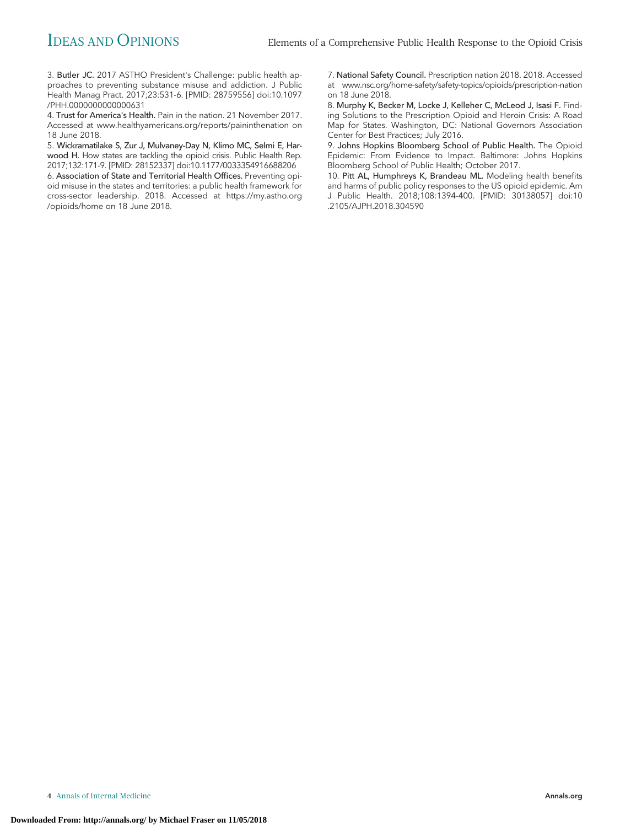3. Butler JC. 2017 ASTHO President's Challenge: public health approaches to preventing substance misuse and addiction. J Public Health Manag Pract. 2017;23:531-6. [PMID: 28759556] doi:10.1097 /PHH.0000000000000631

4. Trust for America's Health. Pain in the nation. 21 November 2017. Accessed at [www.healthyamericans.org/reports/paininthenation](http://www.healthyamericans.org/reports/paininthenation) on 18 June 2018.

5. Wickramatilake S, Zur J, Mulvaney-Day N, Klimo MC, Selmi E, Harwood H. How states are tackling the opioid crisis. Public Health Rep. 2017;132:171-9. [PMID: 28152337] doi:10.1177/0033354916688206 6. Association of State and Territorial Health Offices. Preventing opioid misuse in the states and territories: a public health framework for cross-sector leadership. 2018. Accessed at [https://my.astho.org](https://my.astho.org/opioids/home) [/opioids/home](https://my.astho.org/opioids/home) on 18 June 2018.

7. National Safety Council. Prescription nation 2018. 2018. Accessed at [www.nsc.org/home-safety/safety-topics/opioids/prescription-nation](http://www.nsc.org/home-safety/safety-topics/opioids/prescription-nation) on 18 June 2018.

8. Murphy K, Becker M, Locke J, Kelleher C, McLeod J, Isasi F. Finding Solutions to the Prescription Opioid and Heroin Crisis: A Road Map for States. Washington, DC: National Governors Association Center for Best Practices; July 2016.

9. Johns Hopkins Bloomberg School of Public Health. The Opioid Epidemic: From Evidence to Impact. Baltimore: Johns Hopkins Bloomberg School of Public Health; October 2017.

10. Pitt AL, Humphreys K, Brandeau ML. Modeling health benefits and harms of public policy responses to the US opioid epidemic. Am J Public Health. 2018;108:1394-400. [PMID: 30138057] doi:10 .2105/AJPH.2018.304590